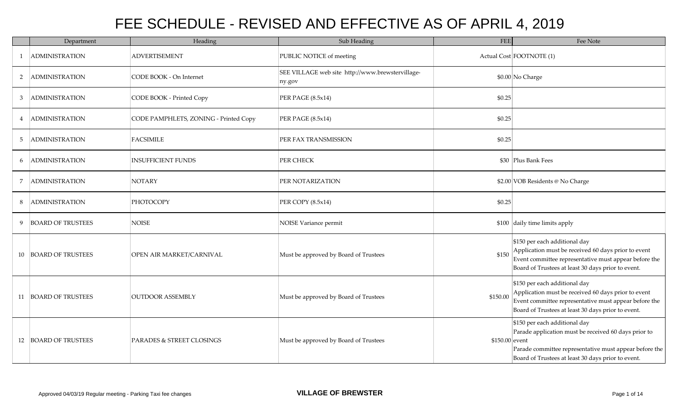|   | Department               | Heading                               | Sub Heading                                                | FEE             | Fee Note                                                                                                                                                                                              |
|---|--------------------------|---------------------------------------|------------------------------------------------------------|-----------------|-------------------------------------------------------------------------------------------------------------------------------------------------------------------------------------------------------|
|   | <b>ADMINISTRATION</b>    | <b>ADVERTISEMENT</b>                  | PUBLIC NOTICE of meeting                                   |                 | Actual Cost FOOTNOTE (1)                                                                                                                                                                              |
| 2 | <b>ADMINISTRATION</b>    | CODE BOOK - On Internet               | SEE VILLAGE web site http://www.brewstervillage-<br>ny.gov |                 | \$0.00 No Charge                                                                                                                                                                                      |
| 3 | <b>ADMINISTRATION</b>    | CODE BOOK - Printed Copy              | PER PAGE (8.5x14)                                          | \$0.25          |                                                                                                                                                                                                       |
| 4 | <b>ADMINISTRATION</b>    | CODE PAMPHLETS, ZONING - Printed Copy | PER PAGE (8.5x14)                                          | \$0.25          |                                                                                                                                                                                                       |
| 5 | <b>ADMINISTRATION</b>    | <b>FACSIMILE</b>                      | PER FAX TRANSMISSION                                       | \$0.25          |                                                                                                                                                                                                       |
| 6 | <b>ADMINISTRATION</b>    | <b>INSUFFICIENT FUNDS</b>             | PER CHECK                                                  |                 | \$30 Plus Bank Fees                                                                                                                                                                                   |
| 7 | ADMINISTRATION           | <b>NOTARY</b>                         | PER NOTARIZATION                                           |                 | \$2.00 VOB Residents @ No Charge                                                                                                                                                                      |
| 8 | ADMINISTRATION           | PHOTOCOPY                             | PER COPY (8.5x14)                                          | \$0.25          |                                                                                                                                                                                                       |
| 9 | <b>BOARD OF TRUSTEES</b> | <b>NOISE</b>                          | NOISE Variance permit                                      |                 | \$100 daily time limits apply                                                                                                                                                                         |
|   | 10 BOARD OF TRUSTEES     | OPEN AIR MARKET/CARNIVAL              | Must be approved by Board of Trustees                      | \$150           | \$150 per each additional day<br>Application must be received 60 days prior to event<br>Event committee representative must appear before the<br>Board of Trustees at least 30 days prior to event.   |
|   | 11 BOARD OF TRUSTEES     | <b>OUTDOOR ASSEMBLY</b>               | Must be approved by Board of Trustees                      | \$150.00        | \$150 per each additional day<br>Application must be received 60 days prior to event<br>Event committee representative must appear before the<br>Board of Trustees at least 30 days prior to event.   |
|   | 12 BOARD OF TRUSTEES     | <b>PARADES &amp; STREET CLOSINGS</b>  | Must be approved by Board of Trustees                      | $$150.00$ event | \$150 per each additional day<br>Parade application must be received 60 days prior to<br>Parade committee representative must appear before the<br>Board of Trustees at least 30 days prior to event. |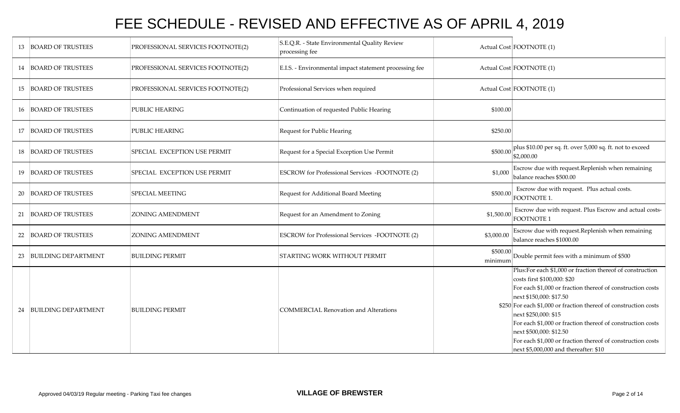|    | 13 BOARD OF TRUSTEES     | PROFESSIONAL SERVICES FOOTNOTE(2) | S.E.Q.R. - State Environmental Quality Review<br>processing fee |                     | Actual Cost FOOTNOTE (1)                                                                                                                                                                                                                                                                                                                                                                                                                                                        |
|----|--------------------------|-----------------------------------|-----------------------------------------------------------------|---------------------|---------------------------------------------------------------------------------------------------------------------------------------------------------------------------------------------------------------------------------------------------------------------------------------------------------------------------------------------------------------------------------------------------------------------------------------------------------------------------------|
|    | 14 BOARD OF TRUSTEES     | PROFESSIONAL SERVICES FOOTNOTE(2) | E.I.S. - Environmental impact statement processing fee          |                     | Actual Cost FOOTNOTE (1)                                                                                                                                                                                                                                                                                                                                                                                                                                                        |
|    | 15 BOARD OF TRUSTEES     | PROFESSIONAL SERVICES FOOTNOTE(2) | Professional Services when required                             |                     | Actual Cost FOOTNOTE (1)                                                                                                                                                                                                                                                                                                                                                                                                                                                        |
|    | 16 BOARD OF TRUSTEES     | PUBLIC HEARING                    | Continuation of requested Public Hearing                        | \$100.00            |                                                                                                                                                                                                                                                                                                                                                                                                                                                                                 |
|    | 17 BOARD OF TRUSTEES     | PUBLIC HEARING                    | Request for Public Hearing                                      | \$250.00            |                                                                                                                                                                                                                                                                                                                                                                                                                                                                                 |
|    | 18 BOARD OF TRUSTEES     | SPECIAL EXCEPTION USE PERMIT      | Request for a Special Exception Use Permit                      | \$500.00            | plus \$10.00 per sq. ft. over 5,000 sq. ft. not to exceed<br>\$2,000.00                                                                                                                                                                                                                                                                                                                                                                                                         |
|    | 19 BOARD OF TRUSTEES     | SPECIAL EXCEPTION USE PERMIT      | <b>ESCROW</b> for Professional Services -FOOTNOTE (2)           | \$1,000             | Escrow due with request. Replenish when remaining<br>balance reaches \$500.00                                                                                                                                                                                                                                                                                                                                                                                                   |
| 20 | <b>BOARD OF TRUSTEES</b> | <b>SPECIAL MEETING</b>            | Request for Additional Board Meeting                            | \$500.00            | Escrow due with request. Plus actual costs.<br>FOOTNOTE 1.                                                                                                                                                                                                                                                                                                                                                                                                                      |
| 21 | <b>BOARD OF TRUSTEES</b> | <b>ZONING AMENDMENT</b>           | Request for an Amendment to Zoning                              | \$1,500.00          | Escrow due with request. Plus Escrow and actual costs-<br>FOOTNOTE 1                                                                                                                                                                                                                                                                                                                                                                                                            |
|    | 22 BOARD OF TRUSTEES     | <b>ZONING AMENDMENT</b>           | ESCROW for Professional Services -FOOTNOTE (2)                  | \$3,000.00          | Escrow due with request. Replenish when remaining<br>balance reaches \$1000.00                                                                                                                                                                                                                                                                                                                                                                                                  |
|    | 23 BUILDING DEPARTMENT   | <b>BUILDING PERMIT</b>            | <b>STARTING WORK WITHOUT PERMIT</b>                             | \$500.00<br>minimum | Double permit fees with a minimum of \$500                                                                                                                                                                                                                                                                                                                                                                                                                                      |
|    | 24 BUILDING DEPARTMENT   | <b>BUILDING PERMIT</b>            | COMMERCIAL Renovation and Alterations                           |                     | Plus:For each \$1,000 or fraction thereof of construction<br>costs first \$100,000: \$20<br>For each \$1,000 or fraction thereof of construction costs<br>next \$150,000: \$17.50<br>\$250 For each \$1,000 or fraction thereof of construction costs<br>next \$250,000: \$15<br>For each \$1,000 or fraction thereof of construction costs<br>next \$500,000: \$12.50<br>For each \$1,000 or fraction thereof of construction costs<br>next $$5,000,000$ and thereafter: $$10$ |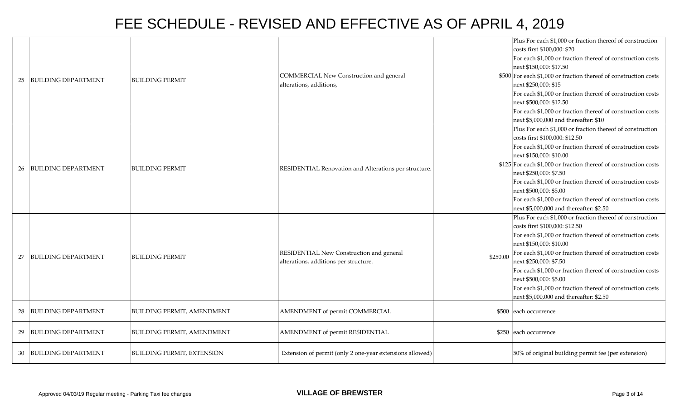| 25 | <b>BUILDING DEPARTMENT</b> | <b>BUILDING PERMIT</b>            | COMMERCIAL New Construction and general<br>alterations, additions,                |          | Plus For each \$1,000 or fraction thereof of construction<br>costs first \$100,000: \$20<br>For each \$1,000 or fraction thereof of construction costs<br>next \$150,000: \$17.50<br>\$500 For each \$1,000 or fraction thereof of construction costs<br>next \$250,000: \$15<br>For each \$1,000 or fraction thereof of construction costs<br>next \$500,000: \$12.50<br>For each \$1,000 or fraction thereof of construction costs<br>next \$5,000,000 and thereafter: \$10         |
|----|----------------------------|-----------------------------------|-----------------------------------------------------------------------------------|----------|---------------------------------------------------------------------------------------------------------------------------------------------------------------------------------------------------------------------------------------------------------------------------------------------------------------------------------------------------------------------------------------------------------------------------------------------------------------------------------------|
| 26 | <b>BUILDING DEPARTMENT</b> | <b>BUILDING PERMIT</b>            | RESIDENTIAL Renovation and Alterations per structure.                             |          | Plus For each \$1,000 or fraction thereof of construction<br>costs first \$100,000: \$12.50<br>For each \$1,000 or fraction thereof of construction costs<br>next \$150,000: \$10.00<br>\$125 For each \$1,000 or fraction thereof of construction costs<br>next \$250,000: \$7.50<br>For each \$1,000 or fraction thereof of construction costs<br>next \$500,000: \$5.00<br>For each \$1,000 or fraction thereof of construction costs<br>next $$5,000,000$ and thereafter: $$2.50$ |
| 27 | <b>BUILDING DEPARTMENT</b> | <b>BUILDING PERMIT</b>            | RESIDENTIAL New Construction and general<br>alterations, additions per structure. | \$250.00 | Plus For each \$1,000 or fraction thereof of construction<br>costs first \$100,000: \$12.50<br>For each \$1,000 or fraction thereof of construction costs<br>next \$150,000: \$10.00<br>For each \$1,000 or fraction thereof of construction costs<br>next \$250,000: \$7.50<br>For each \$1,000 or fraction thereof of construction costs<br>next \$500,000: \$5.00<br>For each \$1,000 or fraction thereof of construction costs<br>next \$5,000,000 and thereafter: \$2.50         |
| 28 | <b>BUILDING DEPARTMENT</b> | <b>BUILDING PERMIT, AMENDMENT</b> | AMENDMENT of permit COMMERCIAL                                                    |          | \$500 each occurrence                                                                                                                                                                                                                                                                                                                                                                                                                                                                 |
| 29 | <b>BUILDING DEPARTMENT</b> | <b>BUILDING PERMIT, AMENDMENT</b> | AMENDMENT of permit RESIDENTIAL                                                   |          | \$250 each occurrence                                                                                                                                                                                                                                                                                                                                                                                                                                                                 |
| 30 | <b>BUILDING DEPARTMENT</b> | <b>BUILDING PERMIT, EXTENSION</b> | Extension of permit (only 2 one-year extensions allowed)                          |          | 50% of original building permit fee (per extension)                                                                                                                                                                                                                                                                                                                                                                                                                                   |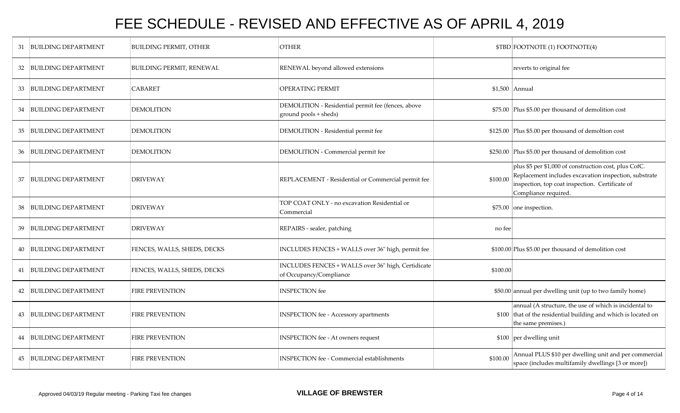| 31 | <b>BUILDING DEPARTMENT</b> | <b>BUILDING PERMIT, OTHER</b>   | <b>OTHER</b>                                                                  |          | \$TBD FOOTNOTE (1) FOOTNOTE(4)                                                                                                                                                            |
|----|----------------------------|---------------------------------|-------------------------------------------------------------------------------|----------|-------------------------------------------------------------------------------------------------------------------------------------------------------------------------------------------|
| 32 | BUILDING DEPARTMENT        | <b>BUILDING PERMIT, RENEWAL</b> | RENEWAL beyond allowed extensions                                             |          | reverts to original fee                                                                                                                                                                   |
| 33 | <b>BUILDING DEPARTMENT</b> | CABARET                         | OPERATING PERMIT                                                              |          | \$1,500 Annual                                                                                                                                                                            |
| 34 | <b>BUILDING DEPARTMENT</b> | <b>DEMOLITION</b>               | DEMOLITION - Residential permit fee (fences, above<br>ground pools + sheds)   |          | \$75.00 Plus \$5.00 per thousand of demolition cost                                                                                                                                       |
| 35 | <b>BUILDING DEPARTMENT</b> | <b>DEMOLITION</b>               | DEMOLITION - Residential permit fee                                           |          | \$125.00 Plus \$5.00 per thousand of demoltion cost                                                                                                                                       |
|    | 36 BUILDING DEPARTMENT     | <b>DEMOLITION</b>               | DEMOLITION - Commercial permit fee                                            |          | \$250.00 Plus \$5.00 per thousand of demolition cost                                                                                                                                      |
| 37 | <b>BUILDING DEPARTMENT</b> | <b>DRIVEWAY</b>                 | REPLACEMENT - Residential or Commercial permit fee                            | \$100.00 | plus \$5 per \$1,000 of construction cost, plus CofC.<br>Replacement includes excavation inspection, substrate<br>inspection, top coat inspection. Certificate of<br>Compliance required. |
| 38 | <b>BUILDING DEPARTMENT</b> | <b>DRIVEWAY</b>                 | TOP COAT ONLY - no excavation Residential or<br>Commercial                    |          | \$75.00 one inspection.                                                                                                                                                                   |
| 39 | <b>BUILDING DEPARTMENT</b> | <b>DRIVEWAY</b>                 | REPAIRS - sealer, patching                                                    | no fee   |                                                                                                                                                                                           |
|    | 40 BUILDING DEPARTMENT     | FENCES, WALLS, SHEDS, DECKS     | INCLUDES FENCES + WALLS over 36" high, permit fee                             |          | \$100.00 Plus \$5.00 per thousand of demolition cost                                                                                                                                      |
|    | 41 BUILDING DEPARTMENT     | FENCES, WALLS, SHEDS, DECKS     | INCLUDES FENCES + WALLS over 36" high, Certidicate<br>of Occupancy/Compliance | \$100.00 |                                                                                                                                                                                           |
|    | 42 BUILDING DEPARTMENT     | <b>FIRE PREVENTION</b>          | <b>INSPECTION</b> fee                                                         |          | \$50.00 annual per dwelling unit (up to two family home)                                                                                                                                  |
|    | 43 BUILDING DEPARTMENT     | <b>FIRE PREVENTION</b>          | <b>INSPECTION</b> fee - Accessory apartments                                  |          | annual (A structure, the use of which is incidental to<br>\$100 that of the residential building and which is located on<br>the same premises.)                                           |
|    | 44 BUILDING DEPARTMENT     | <b>FIRE PREVENTION</b>          | <b>INSPECTION</b> fee - At owners request                                     |          | \$100 per dwelling unit                                                                                                                                                                   |
|    | 45 BUILDING DEPARTMENT     | <b>FIRE PREVENTION</b>          | <b>INSPECTION</b> fee - Commercial establishments                             | \$100.00 | Annual PLUS \$10 per dwelling unit and per commercial<br>space (includes multifamily dwellings [3 or more])                                                                               |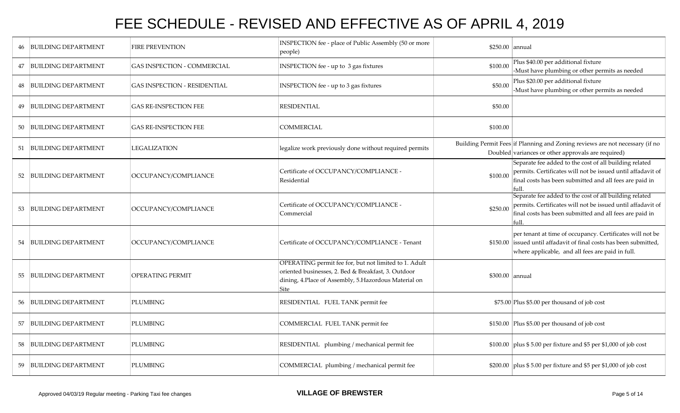|    | 46 BUILDING DEPARTMENT     | <b>FIRE PREVENTION</b>              | INSPECTION fee - place of Public Assembly (50 or more<br>people)                                                                                                               | \$250.00 annual |                                                                                                                                                                                          |
|----|----------------------------|-------------------------------------|--------------------------------------------------------------------------------------------------------------------------------------------------------------------------------|-----------------|------------------------------------------------------------------------------------------------------------------------------------------------------------------------------------------|
| 47 | <b>BUILDING DEPARTMENT</b> | <b>GAS INSPECTION - COMMERCIAL</b>  | INSPECTION fee - up to 3 gas fixtures                                                                                                                                          | \$100.00        | Plus \$40.00 per additional fixture<br>-Must have plumbing or other permits as needed                                                                                                    |
|    | <b>BUILDING DEPARTMENT</b> | <b>GAS INSPECTION - RESIDENTIAL</b> | INSPECTION fee - up to 3 gas fixtures                                                                                                                                          | \$50.00         | Plus \$20.00 per additional fixture<br>-Must have plumbing or other permits as needed                                                                                                    |
| 49 | <b>BUILDING DEPARTMENT</b> | <b>GAS RE-INSPECTION FEE</b>        | <b>RESIDENTIAL</b>                                                                                                                                                             | \$50.00         |                                                                                                                                                                                          |
| 50 | <b>BUILDING DEPARTMENT</b> | <b>GAS RE-INSPECTION FEE</b>        | COMMERCIAL                                                                                                                                                                     | \$100.00        |                                                                                                                                                                                          |
| 51 | <b>BUILDING DEPARTMENT</b> | <b>LEGALIZATION</b>                 | legalize work previously done without required permits                                                                                                                         |                 | Building Permit Fees if Planning and Zoning reviews are not necessary (if no<br>Doubled variances or other approvals are required)                                                       |
|    | BUILDING DEPARTMENT        | OCCUPANCY/COMPLIANCE                | Certificate of OCCUPANCY/COMPLIANCE -<br>Residential                                                                                                                           | \$100.00        | Separate fee added to the cost of all building related<br>permits. Certificates will not be issued until affadavit of<br>final costs has been submitted and all fees are paid in<br>full |
| 53 | <b>BUILDING DEPARTMENT</b> | OCCUPANCY/COMPLIANCE                | Certificate of OCCUPANCY/COMPLIANCE -<br>Commercial                                                                                                                            | \$250.00        | Separate fee added to the cost of all building related<br>permits. Certificates will not be issued until affadavit of<br>final costs has been submitted and all fees are paid in         |
|    | 54 BUILDING DEPARTMENT     | OCCUPANCY/COMPLIANCE                | Certificate of OCCUPANCY/COMPLIANCE - Tenant                                                                                                                                   |                 | per tenant at time of occupancy. Certificates will not be<br>\$150.00 issued until affadavit of final costs has been submitted,<br>where applicable, and all fees are paid in full.      |
| 55 | <b>BUILDING DEPARTMENT</b> | <b>OPERATING PERMIT</b>             | OPERATING permit fee for, but not limited to 1. Adult<br>oriented businesses, 2. Bed & Breakfast, 3. Outdoor<br>dining, 4. Place of Assembly, 5. Hazordous Material on<br>Site | \$300.00 annual |                                                                                                                                                                                          |
| 56 | <b>BUILDING DEPARTMENT</b> | <b>PLUMBING</b>                     | RESIDENTIAL FUEL TANK permit fee                                                                                                                                               |                 | \$75.00 Plus \$5.00 per thousand of job cost                                                                                                                                             |
| 57 | <b>BUILDING DEPARTMENT</b> | <b>PLUMBING</b>                     | COMMERCIAL FUEL TANK permit fee                                                                                                                                                |                 | \$150.00 Plus \$5.00 per thousand of job cost                                                                                                                                            |
| 58 | <b>BUILDING DEPARTMENT</b> | PLUMBING                            | RESIDENTIAL plumbing / mechanical permit fee                                                                                                                                   |                 | \$100.00 plus \$5.00 per fixture and \$5 per \$1,000 of job cost                                                                                                                         |
| 59 | <b>BUILDING DEPARTMENT</b> | <b>PLUMBING</b>                     | COMMERCIAL plumbing / mechanical permit fee                                                                                                                                    |                 | \$200.00 plus \$5.00 per fixture and \$5 per \$1,000 of job cost                                                                                                                         |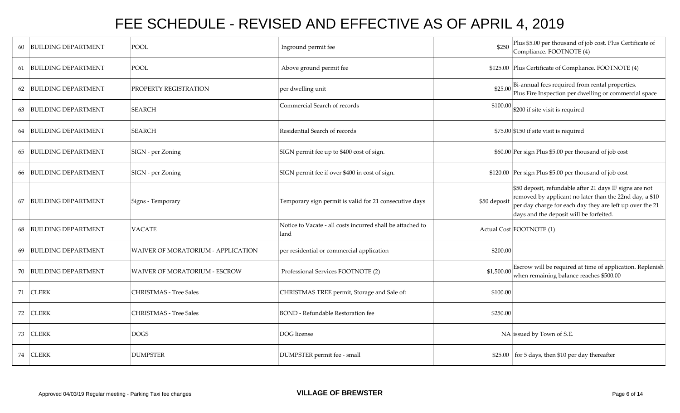| 60 | <b>BUILDING DEPARTMENT</b> | <b>POOL</b>                        | Inground permit fee                                                | \$250        | Plus \$5.00 per thousand of job cost. Plus Certificate of<br>Compliance. FOOTNOTE (4)                                                                                                                                     |
|----|----------------------------|------------------------------------|--------------------------------------------------------------------|--------------|---------------------------------------------------------------------------------------------------------------------------------------------------------------------------------------------------------------------------|
|    | 61 BUILDING DEPARTMENT     | <b>POOL</b>                        | Above ground permit fee                                            |              | \$125.00 Plus Certificate of Compliance. FOOTNOTE (4)                                                                                                                                                                     |
| 62 | <b>BUILDING DEPARTMENT</b> | PROPERTY REGISTRATION              | per dwelling unit                                                  | \$25.00      | Bi-annual fees required from rental properties.<br>Plus Fire Inspection per dwelling or commercial space                                                                                                                  |
|    | 63 BUILDING DEPARTMENT     | <b>SEARCH</b>                      | Commercial Search of records                                       | \$100.00     | \$200 if site visit is required                                                                                                                                                                                           |
| 64 | <b>BUILDING DEPARTMENT</b> | <b>SEARCH</b>                      | Residential Search of records                                      |              | $$75.00$ \$150 if site visit is required                                                                                                                                                                                  |
|    | 65 BUILDING DEPARTMENT     | SIGN - per Zoning                  | SIGN permit fee up to \$400 cost of sign.                          |              | \$60.00 Per sign Plus \$5.00 per thousand of job cost                                                                                                                                                                     |
| 66 | <b>BUILDING DEPARTMENT</b> | SIGN - per Zoning                  | SIGN permit fee if over \$400 in cost of sign.                     |              | \$120.00 Per sign Plus \$5.00 per thousand of job cost                                                                                                                                                                    |
| 67 | <b>BUILDING DEPARTMENT</b> | Signs - Temporary                  | Temporary sign permit is valid for 21 consecutive days             | \$50 deposit | \$50 deposit, refundable after 21 days IF signs are not<br>removed by applicant no later than the 22nd day, a \$10<br>per day charge for each day they are left up over the 21<br>days and the deposit will be forfeited. |
| 68 | <b>BUILDING DEPARTMENT</b> | <b>VACATE</b>                      | Notice to Vacate - all costs incurred shall be attached to<br>land |              | Actual Cost FOOTNOTE (1)                                                                                                                                                                                                  |
| 69 | <b>BUILDING DEPARTMENT</b> | WAIVER OF MORATORIUM - APPLICATION | per residential or commercial application                          | \$200.00     |                                                                                                                                                                                                                           |
|    | 70 BUILDING DEPARTMENT     | WAIVER OF MORATORIUM - ESCROW      | Professional Services FOOTNOTE (2)                                 | \$1,500.00   | Escrow will be required at time of application. Replenish<br>when remaining balance reaches \$500.00                                                                                                                      |
|    | 71 CLERK                   | <b>CHRISTMAS - Tree Sales</b>      | CHRISTMAS TREE permit, Storage and Sale of:                        | \$100.00     |                                                                                                                                                                                                                           |
|    | 72 CLERK                   | <b>CHRISTMAS - Tree Sales</b>      | <b>BOND</b> - Refundable Restoration fee                           | \$250.00     |                                                                                                                                                                                                                           |
|    | 73 CLERK                   | <b>DOGS</b>                        | DOG license                                                        |              | $NA$ issued by Town of S.E.                                                                                                                                                                                               |
|    | 74 CLERK                   | <b>DUMPSTER</b>                    | DUMPSTER permit fee - small                                        |              | $$25.00$ for 5 days, then \$10 per day thereafter                                                                                                                                                                         |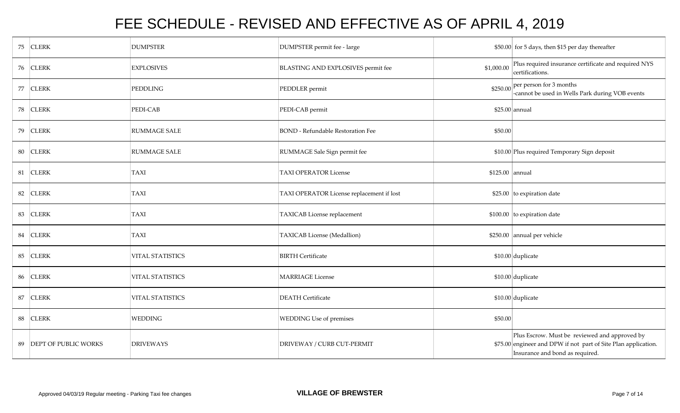|    | 75 CLERK                | <b>DUMPSTER</b>         | DUMPSTER permit fee - large               |                 | \$50.00 for 5 days, then \$15 per day thereafter                                                                                                   |
|----|-------------------------|-------------------------|-------------------------------------------|-----------------|----------------------------------------------------------------------------------------------------------------------------------------------------|
|    | 76 CLERK                | <b>EXPLOSIVES</b>       | BLASTING AND EXPLOSIVES permit fee        | \$1,000.00      | Plus required insurance certificate and required NYS<br>certifications.                                                                            |
|    | 77 CLERK                | <b>PEDDLING</b>         | PEDDLER permit                            | \$250.00        | per person for 3 months<br>-cannot be used in Wells Park during VOB events                                                                         |
|    | 78 CLERK                | PEDI-CAB                | PEDI-CAB permit                           |                 | $$25.00$ annual                                                                                                                                    |
|    | 79 CLERK                | <b>RUMMAGE SALE</b>     | <b>BOND</b> - Refundable Restoration Fee  | \$50.00         |                                                                                                                                                    |
|    | 80 CLERK                | <b>RUMMAGE SALE</b>     | RUMMAGE Sale Sign permit fee              |                 | \$10.00 Plus required Temporary Sign deposit                                                                                                       |
| 81 | <b>CLERK</b>            | <b>TAXI</b>             | <b>TAXI OPERATOR License</b>              | \$125.00 annual |                                                                                                                                                    |
| 82 | <b>CLERK</b>            | <b>TAXI</b>             | TAXI OPERATOR License replacement if lost |                 | $$25.00$ to expiration date                                                                                                                        |
|    | 83 CLERK                | TAXI                    | TAXICAB License replacement               |                 | $$100.00$ to expiration date                                                                                                                       |
| 84 | <b>CLERK</b>            | <b>TAXI</b>             | TAXICAB License (Medallion)               |                 | \$250.00 annual per vehicle                                                                                                                        |
| 85 | <b>CLERK</b>            | <b>VITAL STATISTICS</b> | <b>BIRTH Certificate</b>                  |                 | $$10.00$ duplicate                                                                                                                                 |
|    | 86 CLERK                | VITAL STATISTICS        | <b>MARRIAGE</b> License                   |                 | \$10.00 duplicate                                                                                                                                  |
| 87 | <b>CLERK</b>            | <b>VITAL STATISTICS</b> | <b>DEATH</b> Certificate                  |                 | $$10.00$ duplicate                                                                                                                                 |
| 88 | <b>CLERK</b>            | <b>WEDDING</b>          | <b>WEDDING Use of premises</b>            | \$50.00         |                                                                                                                                                    |
|    | 89 DEPT OF PUBLIC WORKS | <b>DRIVEWAYS</b>        | DRIVEWAY / CURB CUT-PERMIT                |                 | Plus Escrow. Must be reviewed and approved by<br>\$75.00 engineer and DPW if not part of Site Plan application.<br>Insurance and bond as required. |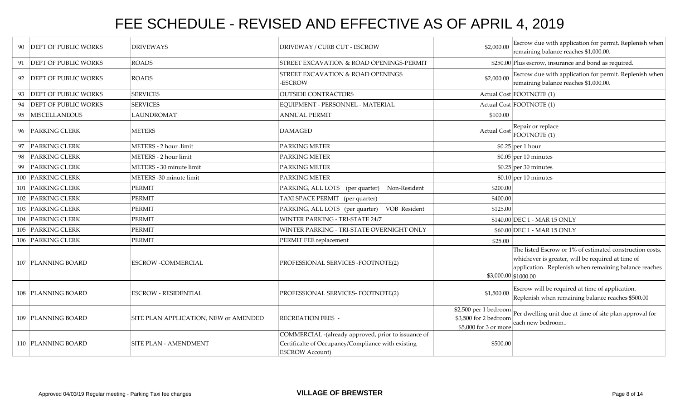| 90 | <b>DEPT OF PUBLIC WORKS</b> | <b>DRIVEWAYS</b>                      | DRIVEWAY / CURB CUT - ESCROW                                                                                                        | \$2,000.00                                                              | Escrow due with application for permit. Replenish when<br>remaining balance reaches \$1,000.00.                                                                        |
|----|-----------------------------|---------------------------------------|-------------------------------------------------------------------------------------------------------------------------------------|-------------------------------------------------------------------------|------------------------------------------------------------------------------------------------------------------------------------------------------------------------|
|    | 91 DEPT OF PUBLIC WORKS     | <b>ROADS</b>                          | STREET EXCAVATION & ROAD OPENINGS-PERMIT                                                                                            |                                                                         | \$250.00 Plus escrow, insurance and bond as required.                                                                                                                  |
|    | 92 DEPT OF PUBLIC WORKS     | <b>ROADS</b>                          | STREET EXCAVATION & ROAD OPENINGS<br><b>ESCROW</b>                                                                                  | \$2,000.00                                                              | Escrow due with application for permit. Replenish when<br>remaining balance reaches \$1,000.00.                                                                        |
| 93 | <b>DEPT OF PUBLIC WORKS</b> | <b>SERVICES</b>                       | <b>OUTSIDE CONTRACTORS</b>                                                                                                          |                                                                         | Actual Cost FOOTNOTE (1)                                                                                                                                               |
| 94 | <b>DEPT OF PUBLIC WORKS</b> | <b>SERVICES</b>                       | EQUIPMENT - PERSONNEL - MATERIAL                                                                                                    |                                                                         | Actual Cost FOOTNOTE (1)                                                                                                                                               |
|    | 95 MISCELLANEOUS            | <b>LAUNDROMAT</b>                     | <b>ANNUAL PERMIT</b>                                                                                                                | \$100.00                                                                |                                                                                                                                                                        |
|    | 96 PARKING CLERK            | <b>METERS</b>                         | <b>DAMAGED</b>                                                                                                                      | Actual Cost                                                             | Repair or replace<br>FOOTNOTE (1)                                                                                                                                      |
|    | <b>PARKING CLERK</b>        | METERS - 2 hour .limit                | PARKING METER                                                                                                                       |                                                                         | $$0.25$ per 1 hour                                                                                                                                                     |
| 98 | <b>PARKING CLERK</b>        | METERS - 2 hour limit                 | PARKING METER                                                                                                                       |                                                                         | $$0.05$ per 10 minutes                                                                                                                                                 |
| 99 | <b>PARKING CLERK</b>        | METERS - 30 minute limit              | PARKING METER                                                                                                                       |                                                                         | $$0.25$ per 30 minutes                                                                                                                                                 |
|    | 100 PARKING CLERK           | METERS -30 minute limit               | <b>PARKING METER</b>                                                                                                                |                                                                         | $$0.10$ per 10 minutes                                                                                                                                                 |
|    | 101 PARKING CLERK           | <b>PERMIT</b>                         | PARKING, ALL LOTS (per quarter)<br>Non-Resident                                                                                     | \$200.00                                                                |                                                                                                                                                                        |
|    | 102 PARKING CLERK           | PERMIT                                | TAXI SPACE PERMIT (per quarter)                                                                                                     | \$400.00                                                                |                                                                                                                                                                        |
|    | 103 PARKING CLERK           | <b>PERMIT</b>                         | PARKING, ALL LOTS (per quarter)<br>VOB Resident                                                                                     | \$125.00                                                                |                                                                                                                                                                        |
|    | 104 PARKING CLERK           | PERMIT                                | WINTER PARKING - TRI-STATE 24/7                                                                                                     |                                                                         | \$140.00 DEC 1 - MAR 15 ONLY                                                                                                                                           |
|    | 105 PARKING CLERK           | PERMIT                                | WINTER PARKING - TRI-STATE OVERNIGHT ONLY                                                                                           |                                                                         | \$60.00 DEC 1 - MAR 15 ONLY                                                                                                                                            |
|    | 106 PARKING CLERK           | <b>PERMIT</b>                         | PERMIT FEE replacement                                                                                                              | \$25.00                                                                 |                                                                                                                                                                        |
|    | 107 PLANNING BOARD          | <b>ESCROW -COMMERCIAL</b>             | PROFESSIONAL SERVICES -FOOTNOTE(2)                                                                                                  | $$3,000.00$ \$1000.00                                                   | The listed Escrow or 1% of estimated construction costs,<br>whichever is greater, will be required at time of<br>application. Replenish when remaining balance reaches |
|    | 108 PLANNING BOARD          | <b>ESCROW - RESIDENTIAL</b>           | PROFESSIONAL SERVICES- FOOTNOTE(2)                                                                                                  | \$1,500.00                                                              | Escrow will be required at time of application.<br>Replenish when remaining balance reaches \$500.00                                                                   |
|    | 109 PLANNING BOARD          | SITE PLAN APPLICATION, NEW or AMENDED | <b>RECREATION FEES -</b>                                                                                                            | \$2,500 per 1 bedroom<br>\$3,500 for 2 bedroom<br>\$5,000 for 3 or more | Per dwelling unit due at time of site plan approval for<br>each new bedroom                                                                                            |
|    | 110 PLANNING BOARD          | <b>SITE PLAN - AMENDMENT</b>          | COMMERCIAL -(already approved, prior to issuance of<br>Certificalte of Occupancy/Compliance with existing<br><b>ESCROW Account)</b> | \$500.00                                                                |                                                                                                                                                                        |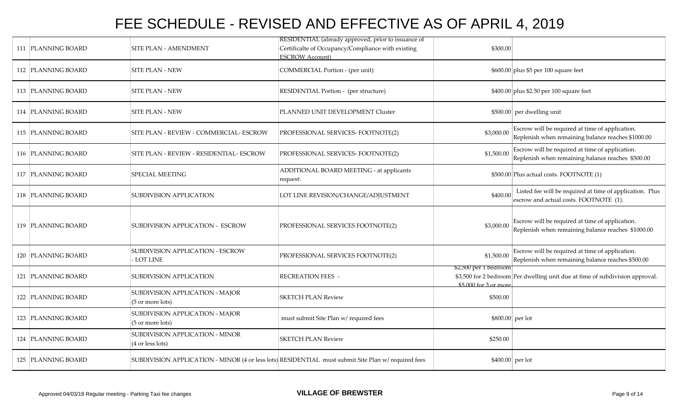| 111 PLANNING BOARD   | <b>SITE PLAN - AMENDMENT</b>                        | RESIDENTIAL (already approved, prior to issuance of<br>Certificalte of Occupancy/Compliance with existing<br><b>ESCROW Account)</b> | \$300.00                                       |                                                                                                       |
|----------------------|-----------------------------------------------------|-------------------------------------------------------------------------------------------------------------------------------------|------------------------------------------------|-------------------------------------------------------------------------------------------------------|
| 112 PLANNING BOARD   | SITE PLAN - NEW                                     | COMMERCIAL Portion - (per unit)                                                                                                     |                                                | \$600.00 plus \$5 per 100 square feet                                                                 |
| 113 PLANNING BOARD   | <b>SITE PLAN - NEW</b>                              | RESIDENTIAL Portion - (per structure)                                                                                               |                                                | \$400.00 plus \$2.50 per 100 square feet                                                              |
| 114   PLANNING BOARD | <b>SITE PLAN - NEW</b>                              | PLANNED UNIT DEVELOPMENT Cluster                                                                                                    |                                                | \$500.00 per dwelling unit                                                                            |
| 115 PLANNING BOARD   | SITE PLAN - REVIEW - COMMERCIAL- ESCROW             | PROFESSIONAL SERVICES- FOOTNOTE(2)                                                                                                  | \$3,000.00                                     | Escrow will be required at time of application.<br>Replenish when remaining balance reaches \$1000.00 |
| 116 PLANNING BOARD   | SITE PLAN - REVIEW - RESIDENTIAL- ESCROW            | PROFESSIONAL SERVICES- FOOTNOTE(2)                                                                                                  | \$1,500.00                                     | Escrow will be required at time of application.<br>Replenish when remaining balance reaches \$500.00  |
| 117 PLANNING BOARD   | SPECIAL MEETING                                     | ADDITIONAL BOARD MEETING - at applicants<br>request:                                                                                |                                                | \$500.00 Plus actual costs. FOOTNOTE (1)                                                              |
| 118 PLANNING BOARD   | SUBDIVISION APPLICATION                             | LOT LINE REVISION/CHANGE/ADJUSTMENT                                                                                                 | \$400.00                                       | Listed fee will be required at time of application. Plus<br>escrow and actual costs. FOOTNOTE (1).    |
| 119 PLANNING BOARD   | SUBDIVISION APPLICATION - ESCROW                    | PROFESSIONAL SERVICES FOOTNOTE(2)                                                                                                   | \$3,000.00                                     | Escrow will be required at time of application.<br>Replenish when remaining balance reaches \$1000.00 |
| 120 PLANNING BOARD   | SUBDIVISION APPLICATION - ESCROW<br>LOT LINE        | PROFESSIONAL SERVICES FOOTNOTE(2)                                                                                                   | \$1,500.00                                     | Escrow will be required at time of application.<br>Replenish when remaining balance reaches \$500.00  |
| 121 PLANNING BOARD   | SUBDIVISION APPLICATION                             | RECREATION FEES -                                                                                                                   | \$2,500 per 1 bedroom<br>$$5000$ for 3 or more | \$3,500 for 2 bedroom Per dwelling unit due at time of subdivision approval.                          |
| 122 PLANNING BOARD   | SUBDIVISION APPLICATION - MAJOR<br>(5 or more lots) | <b>SKETCH PLAN Review</b>                                                                                                           | \$500.00                                       |                                                                                                       |
| 123 PLANNING BOARD   | SUBDIVISION APPLICATION - MAJOR<br>(5 or more lots) | must submit Site Plan w/ required fees                                                                                              | \$800.00 per lot                               |                                                                                                       |
| 124 PLANNING BOARD   | SUBDIVISION APPLICATION - MINOR<br>(4 or less lots) | <b>SKETCH PLAN Review</b>                                                                                                           | \$250.00                                       |                                                                                                       |
| 125 PLANNING BOARD   |                                                     | SUBDIVISION APPLICATION - MINOR (4 or less lots) RESIDENTIAL must submit Site Plan w/ required fees                                 | \$400.00 per lot                               |                                                                                                       |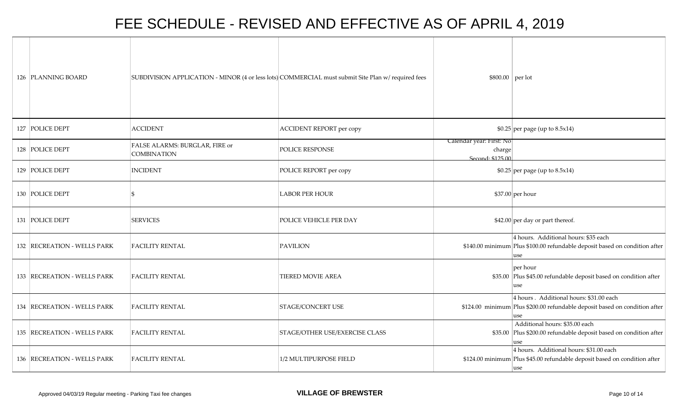| 126 PLANNING BOARD          |                                                      | SUBDIVISION APPLICATION - MINOR (4 or less lots) COMMERCIAL must submit Site Plan w/ required fees | $$800.00$ per lot                                         |                                                                                                                              |
|-----------------------------|------------------------------------------------------|----------------------------------------------------------------------------------------------------|-----------------------------------------------------------|------------------------------------------------------------------------------------------------------------------------------|
| 127 POLICE DEPT             | <b>ACCIDENT</b>                                      | <b>ACCIDENT REPORT per copy</b>                                                                    |                                                           | $$0.25$ per page (up to 8.5x14)                                                                                              |
| 128 POLICE DEPT             | FALSE ALARMS: BURGLAR, FIRE or<br><b>COMBINATION</b> | POLICE RESPONSE                                                                                    | Calendar year: First: No<br>charge<br>$S$ econd: \$125.00 |                                                                                                                              |
| 129 POLICE DEPT             | <b>INCIDENT</b>                                      | POLICE REPORT per copy                                                                             |                                                           | $$0.25$ per page (up to 8.5x14)                                                                                              |
| 130 POLICE DEPT             |                                                      | <b>LABOR PER HOUR</b>                                                                              |                                                           | $$37.00$ per hour                                                                                                            |
| 131 POLICE DEPT             | <b>SERVICES</b>                                      | POLICE VEHICLE PER DAY                                                                             |                                                           | $$42.00$ per day or part thereof.                                                                                            |
| 132 RECREATION - WELLS PARK | <b>FACILITY RENTAL</b>                               | PAVILION                                                                                           |                                                           | 4 hours. Additional hours: \$35 each<br>\$140.00 minimum Plus \$100.00 refundable deposit based on condition after<br>use    |
| 133 RECREATION - WELLS PARK | <b>FACILITY RENTAL</b>                               | <b>TIERED MOVIE AREA</b>                                                                           |                                                           | per hour<br>\$35.00 Plus \$45.00 refundable deposit based on condition after<br>use                                          |
| 134 RECREATION - WELLS PARK | <b>FACILITY RENTAL</b>                               | <b>STAGE/CONCERT USE</b>                                                                           |                                                           | 4 hours. Additional hours: \$31.00 each<br>\$124.00 minimum Plus \$200.00 refundable deposit based on condition after<br>use |
| 135 RECREATION - WELLS PARK | <b>FACILITY RENTAL</b>                               | STAGE/OTHER USE/EXERCISE CLASS                                                                     |                                                           | Additional hours: \$35.00 each<br>\$35.00 Plus \$200.00 refundable deposit based on condition after<br>use                   |
| 136 RECREATION - WELLS PARK | <b>FACILITY RENTAL</b>                               | 1/2 MULTIPURPOSE FIELD                                                                             |                                                           | 4 hours. Additional hours: \$31.00 each<br>\$124.00 minimum Plus \$45.00 refundable deposit based on condition after<br>use  |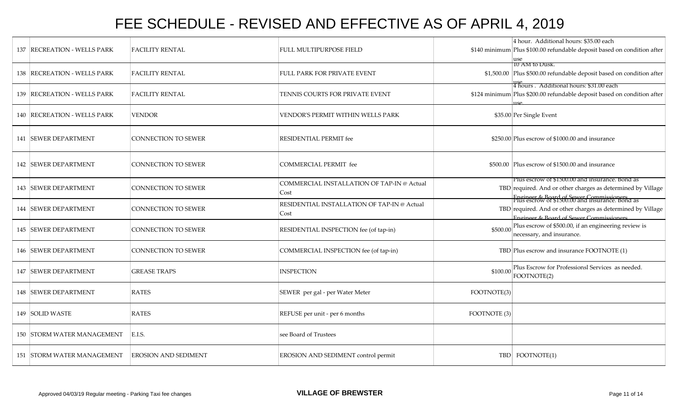| 137  RECREATION - WELLS PARK | <b>FACILITY RENTAL</b>      | FULL MULTIPURPOSE FIELD                             |              | 4 hour. Additional hours: \$35.00 each<br>\$140 minimum Plus \$100.00 refundable deposit based on condition after                                                                                            |
|------------------------------|-----------------------------|-----------------------------------------------------|--------------|--------------------------------------------------------------------------------------------------------------------------------------------------------------------------------------------------------------|
| 138 RECREATION - WELLS PARK  | <b>FACILITY RENTAL</b>      | FULL PARK FOR PRIVATE EVENT                         |              | IU AM to Dusk.<br>\$1,500.00 Plus \$500.00 refundable deposit based on condition after                                                                                                                       |
| 139 RECREATION - WELLS PARK  | <b>FACILITY RENTAL</b>      | TENNIS COURTS FOR PRIVATE EVENT                     |              | 11se<br> 4 hours . Additional hours: \$31.00 each<br>\$124 minimum Plus \$200.00 refundable deposit based on condition after                                                                                 |
| 140 RECREATION - WELLS PARK  | <b>VENDOR</b>               | VENDOR'S PERMIT WITHIN WELLS PARK                   |              | \$35.00 Per Single Event                                                                                                                                                                                     |
| 141 SEWER DEPARTMENT         | <b>CONNECTION TO SEWER</b>  | RESIDENTIAL PERMIT fee                              |              | \$250.00 Plus escrow of \$1000.00 and insurance                                                                                                                                                              |
| <b>142 SEWER DEPARTMENT</b>  | CONNECTION TO SEWER         | COMMERCIAL PERMIT fee                               |              | \$500.00 Plus escrow of \$1500.00 and insurance                                                                                                                                                              |
| 143 SEWER DEPARTMENT         | CONNECTION TO SEWER         | COMMERCIAL INSTALLATION OF TAP-IN @ Actual<br>Cost  |              | Plus escrow of \$1500.00 and insurance. Bond as<br>TBD required. And or other charges as determined by Village<br>Engineer & Board of Sewer Commissioners<br>Plus escrow of \$1500.00 and insurance. Bond as |
| <b>144 SEWER DEPARTMENT</b>  | CONNECTION TO SEWER         | RESIDENTIAL INSTALLATION OF TAP-IN @ Actual<br>Cost |              | TBD required. And or other charges as determined by Village<br>Engineer & Board of Sewer Commissioners                                                                                                       |
| <b>145 SEWER DEPARTMENT</b>  | <b>CONNECTION TO SEWER</b>  | RESIDENTIAL INSPECTION fee (of tap-in)              | \$500.00     | Plus escrow of \$500.00, if an engineering review is<br>necessary, and insurance.                                                                                                                            |
| 146 SEWER DEPARTMENT         | CONNECTION TO SEWER         | COMMERCIAL INSPECTION fee (of tap-in)               |              | TBD Plus escrow and insurance FOOTNOTE (1)                                                                                                                                                                   |
| 147 SEWER DEPARTMENT         | <b>GREASE TRAPS</b>         | <b>INSPECTION</b>                                   | \$100.00     | Plus Escrow for Professionsl Services as needed.<br>FOOTNOTE(2)                                                                                                                                              |
| <b>148 ISEWER DEPARTMENT</b> | <b>RATES</b>                | SEWER per gal - per Water Meter                     | FOOTNOTE(3)  |                                                                                                                                                                                                              |
| 149 SOLID WASTE              | <b>RATES</b>                | REFUSE per unit - per 6 months                      | FOOTNOTE (3) |                                                                                                                                                                                                              |
| 150 STORM WATER MANAGEMENT   | E.I.S.                      | see Board of Trustees                               |              |                                                                                                                                                                                                              |
| 151 STORM WATER MANAGEMENT   | <b>EROSION AND SEDIMENT</b> | EROSION AND SEDIMENT control permit                 |              | TBD FOOTNOTE(1)                                                                                                                                                                                              |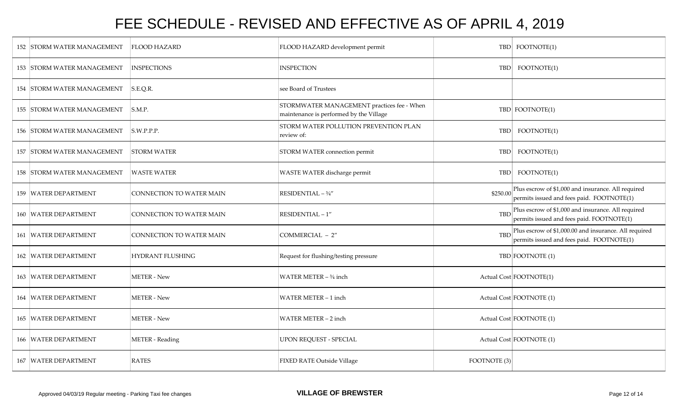| 152 STORM WATER MANAGEMENT | <b>FLOOD HAZARD</b>             | FLOOD HAZARD development permit                                                       |              | TBD FOOTNOTE(1)                                                                                    |
|----------------------------|---------------------------------|---------------------------------------------------------------------------------------|--------------|----------------------------------------------------------------------------------------------------|
| 153 STORM WATER MANAGEMENT | <b>INSPECTIONS</b>              | <b>INSPECTION</b>                                                                     |              | TBD FOOTNOTE(1)                                                                                    |
| 154 STORM WATER MANAGEMENT | S.E.Q.R.                        | see Board of Trustees                                                                 |              |                                                                                                    |
| 155 STORM WATER MANAGEMENT | S.M.P.                          | STORMWATER MANAGEMENT practices fee - When<br>maintenance is performed by the Village |              | TBD FOOTNOTE(1)                                                                                    |
| 156 STORM WATER MANAGEMENT | S.W.P.P.P.                      | STORM WATER POLLUTION PREVENTION PLAN<br>review of:                                   | <b>TBD</b>   | FOOTNOTE(1)                                                                                        |
| 157 STORM WATER MANAGEMENT | <b>STORM WATER</b>              | STORM WATER connection permit                                                         | <b>TBD</b>   | FOOTNOTE(1)                                                                                        |
| 158 STORM WATER MANAGEMENT | <b>WASTE WATER</b>              | WASTE WATER discharge permit                                                          |              | TBD FOOTNOTE(1)                                                                                    |
| 159 WATER DEPARTMENT       | <b>CONNECTION TO WATER MAIN</b> | RESIDENTIAL - 3/4"                                                                    | \$250.00     | Plus escrow of \$1,000 and insurance. All required<br>permits issued and fees paid. FOOTNOTE(1)    |
| 160 WATER DEPARTMENT       | CONNECTION TO WATER MAIN        | RESIDENTIAL-1"                                                                        | <b>TBD</b>   | Plus escrow of \$1,000 and insurance. All required<br>permits issued and fees paid. FOOTNOTE(1)    |
| 161 WATER DEPARTMENT       | CONNECTION TO WATER MAIN        | COMMERCIAL - 2"                                                                       | <b>TBD</b>   | Plus escrow of \$1,000.00 and insurance. All required<br>permits issued and fees paid. FOOTNOTE(1) |
| 162 WATER DEPARTMENT       | HYDRANT FLUSHING                | Request for flushing/testing pressure                                                 |              | TBD FOOTNOTE (1)                                                                                   |
| 163 WATER DEPARTMENT       | <b>METER - New</b>              | WATER METER - 3/4 inch                                                                |              | Actual Cost FOOTNOTE(1)                                                                            |
| 164 WATER DEPARTMENT       | <b>METER - New</b>              | WATER METER - 1 inch                                                                  |              | Actual Cost FOOTNOTE (1)                                                                           |
| 165 WATER DEPARTMENT       | <b>METER - New</b>              | WATER METER - 2 inch                                                                  |              | Actual Cost FOOTNOTE (1)                                                                           |
| 166 WATER DEPARTMENT       | <b>METER</b> - Reading          | <b>UPON REQUEST - SPECIAL</b>                                                         |              | Actual Cost FOOTNOTE (1)                                                                           |
| 167 WATER DEPARTMENT       | RATES                           | FIXED RATE Outside Village                                                            | FOOTNOTE (3) |                                                                                                    |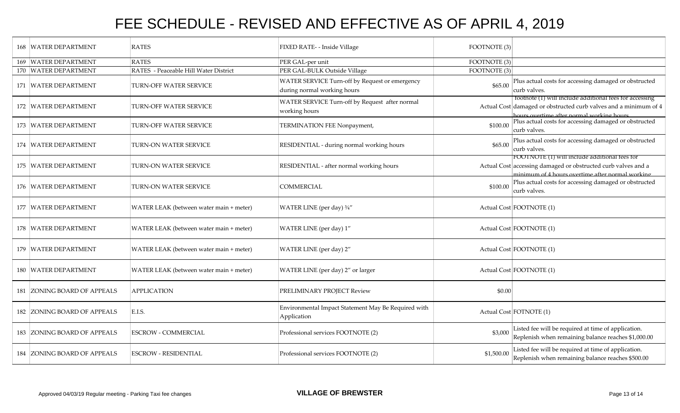| <b>168 WATER DEPARTMENT</b> | <b>RATES</b>                            | FIXED RATE- - Inside Village                                                  | FOOTNOTE (3) |                                                                                                                                                                          |
|-----------------------------|-----------------------------------------|-------------------------------------------------------------------------------|--------------|--------------------------------------------------------------------------------------------------------------------------------------------------------------------------|
| 169 WATER DEPARTMENT        | <b>RATES</b>                            | PER GAL-per unit                                                              | FOOTNOTE (3) |                                                                                                                                                                          |
| 170 WATER DEPARTMENT        | RATES - Peaceable Hill Water District   | PER GAL-BULK Outside Village                                                  | FOOTNOTE (3) |                                                                                                                                                                          |
| 171 WATER DEPARTMENT        | TURN-OFF WATER SERVICE                  | WATER SERVICE Turn-off by Request or emergency<br>during normal working hours | \$65.00      | Plus actual costs for accessing damaged or obstructed<br>curb valves.                                                                                                    |
| 172 WATER DEPARTMENT        | TURN-OFF WATER SERVICE                  | WATER SERVICE Turn-off by Request after normal<br>working hours               |              | footnote (1) will include additional fees for accessing<br>Actual Cost damaged or obstructed curb valves and a minimum of 4<br>hours overtime after normal working hours |
| 173 WATER DEPARTMENT        | TURN-OFF WATER SERVICE                  | TERMINATION FEE Nonpayment,                                                   | \$100.00     | Plus actual costs for accessing damaged or obstructed<br>curb valves.                                                                                                    |
| 174 WATER DEPARTMENT        | TURN-ON WATER SERVICE                   | RESIDENTIAL - during normal working hours                                     | \$65.00      | Plus actual costs for accessing damaged or obstructed<br>curb valves.                                                                                                    |
| 175 WATER DEPARTMENT        | TURN-ON WATER SERVICE                   | RESIDENTIAL - after normal working hours                                      |              | FOOTNOTE (1) will include additional fees for<br>Actual Cost accessing damaged or obstructed curb valves and a<br>minimum of 4 hours overtime after normal working       |
| 176 WATER DEPARTMENT        | TURN-ON WATER SERVICE                   | <b>COMMERCIAL</b>                                                             | \$100.00     | Plus actual costs for accessing damaged or obstructed<br>curb valves.                                                                                                    |
| 177 WATER DEPARTMENT        | WATER LEAK (between water main + meter) | WATER LINE (per day) 3/4"                                                     |              | Actual Cost FOOTNOTE (1)                                                                                                                                                 |
| 178 WATER DEPARTMENT        | WATER LEAK (between water main + meter) | WATER LINE (per day) 1"                                                       |              | Actual Cost FOOTNOTE (1)                                                                                                                                                 |
| 179 WATER DEPARTMENT        | WATER LEAK (between water main + meter) | WATER LINE (per day) 2"                                                       |              | Actual Cost FOOTNOTE (1)                                                                                                                                                 |
| 180 WATER DEPARTMENT        | WATER LEAK (between water main + meter) | WATER LINE (per day) 2" or larger                                             |              | Actual Cost FOOTNOTE (1)                                                                                                                                                 |
| 181 ZONING BOARD OF APPEALS | <b>APPLICATION</b>                      | PRELIMINARY PROJECT Review                                                    | \$0.00       |                                                                                                                                                                          |
| 182 ZONING BOARD OF APPEALS | E.I.S.                                  | Environmental Impact Statement May Be Required with<br>Application            |              | Actual Cost FOTNOTE (1)                                                                                                                                                  |
| 183 ZONING BOARD OF APPEALS | <b>ESCROW - COMMERCIAL</b>              | Professional services FOOTNOTE (2)                                            | \$3,000      | Listed fee will be required at time of application.<br>Replenish when remaining balance reaches \$1,000.00                                                               |
| 184 ZONING BOARD OF APPEALS | <b>ESCROW - RESIDENTIAL</b>             | Professional services FOOTNOTE (2)                                            | \$1,500.00   | Listed fee will be required at time of application.<br>Replenish when remaining balance reaches \$500.00                                                                 |